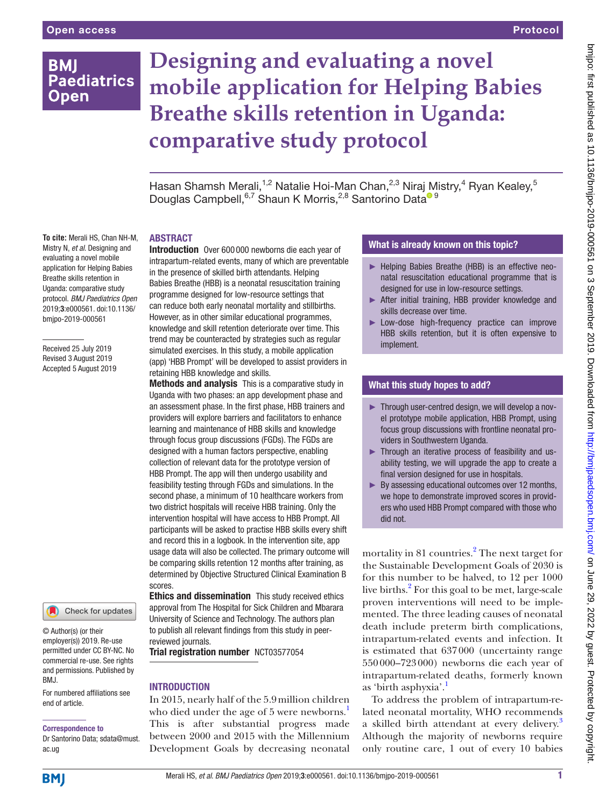# Protocol

# **BMI Paediatrics Open**

# **Designing and evaluating a novel mobile application for Helping Babies Breathe skills retention in Uganda: comparative study protocol**

Hasan Shamsh Merali,<sup>1,2</sup> Natalie Hoi-Man Chan,<sup>2,3</sup> Niraj Mistry,<sup>4</sup> Ryan Kealey,<sup>5</sup> Dougl[a](http://orcid.org/0000-0001-8453-7099)s Campbell, <sup>6,7</sup> Shaun K Morris, <sup>2,8</sup> Santorino Data<sup>® 9</sup>

**To cite:** Merali HS, Chan NH-M, Mistry N, *et al*. Designing and evaluating a novel mobile application for Helping Babies Breathe skills retention in Uganda: comparative study protocol. *BMJ Paediatrics Open* 2019;3:e000561. doi:10.1136/ bmjpo-2019-000561

Received 25 July 2019 Revised 3 August 2019 Accepted 5 August 2019



© Author(s) (or their employer(s)) 2019. Re-use permitted under CC BY-NC. No commercial re-use. See rights and permissions. Published by BMJ.

For numbered affiliations see end of article.

#### Correspondence to

Dr Santorino Data; sdata@must. ac.ug

#### **ABSTRACT**

Introduction Over 600 000 newborns die each year of intrapartum-related events, many of which are preventable in the presence of skilled birth attendants. Helping Babies Breathe (HBB) is a neonatal resuscitation training programme designed for low-resource settings that can reduce both early neonatal mortality and stillbirths. However, as in other similar educational programmes, knowledge and skill retention deteriorate over time. This trend may be counteracted by strategies such as regular simulated exercises. In this study, a mobile application (app) 'HBB Prompt' will be developed to assist providers in retaining HBB knowledge and skills.

**Methods and analysis** This is a comparative study in Uganda with two phases: an app development phase and an assessment phase. In the first phase, HBB trainers and providers will explore barriers and facilitators to enhance learning and maintenance of HBB skills and knowledge through focus group discussions (FGDs). The FGDs are designed with a human factors perspective, enabling collection of relevant data for the prototype version of HBB Prompt. The app will then undergo usability and feasibility testing through FGDs and simulations. In the second phase, a minimum of 10 healthcare workers from two district hospitals will receive HBB training. Only the intervention hospital will have access to HBB Prompt. All participants will be asked to practise HBB skills every shift and record this in a logbook. In the intervention site, app usage data will also be collected. The primary outcome will be comparing skills retention 12 months after training, as determined by Objective Structured Clinical Examination B scores.

**Ethics and dissemination** This study received ethics approval from The Hospital for Sick Children and Mbarara University of Science and Technology. The authors plan to publish all relevant findings from this study in peerreviewed journals.

Trial registration number <NCT03577054>

# **INTRODUCTION**

In 2015, nearly half of the 5.9million children who died under the age of 5 were newborns.<sup>1</sup> This is after substantial progress made between 2000 and 2015 with the Millennium Development Goals by decreasing neonatal

# What is already known on this topic?

- ► Helping Babies Breathe (HBB) is an effective neonatal resuscitation educational programme that is designed for use in low-resource settings.
- ► After initial training, HBB provider knowledge and skills decrease over time.
- ► Low-dose high-frequency practice can improve HBB skills retention, but it is often expensive to implement.

#### What this study hopes to add?

- ► Through user-centred design, we will develop a novel prototype mobile application, HBB Prompt, using focus group discussions with frontline neonatal providers in Southwestern Uganda.
- ► Through an iterative process of feasibility and usability testing, we will upgrade the app to create a final version designed for use in hospitals.
- ► By assessing educational outcomes over 12 months, we hope to demonstrate improved scores in providers who used HBB Prompt compared with those who did not.

mortality in 81 countries.<sup>[2](#page-5-0)</sup> The next target for the Sustainable Development Goals of 2030 is for this number to be halved, to 12 per 1000 live births.<sup>[2](#page-5-0)</sup> For this goal to be met, large-scale proven interventions will need to be implemented. The three leading causes of neonatal death include preterm birth complications, intrapartum-related events and infection. It is estimated that 637000 (uncertainty range 550000–723000) newborns die each year of intrapartum-related deaths, formerly known as 'birth asphyxia'.<sup>[1](#page-4-0)</sup>

To address the problem of intrapartum-related neonatal mortality, WHO recommends a skilled birth attendant at every delivery.<sup>[3](#page-5-1)</sup> Although the majority of newborns require only routine care, 1 out of every 10 babies

**BMJ**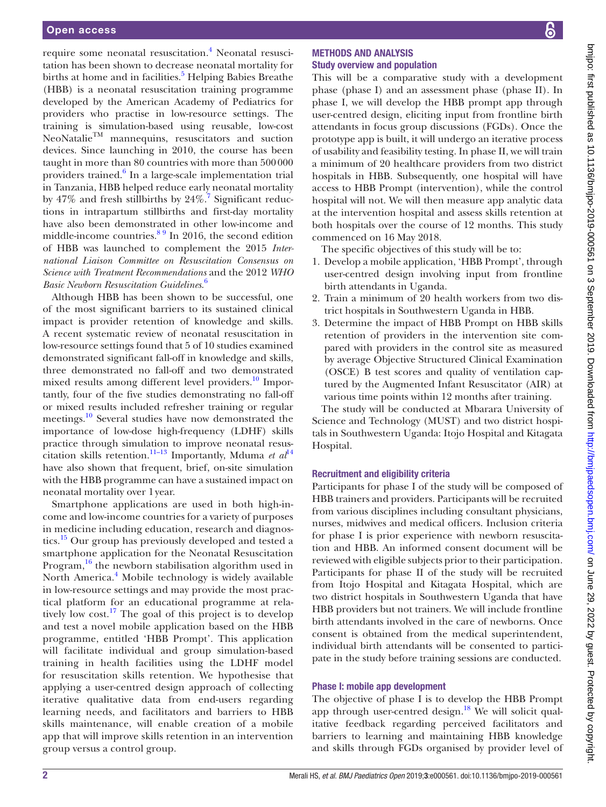require some neonatal resuscitation.<sup>4</sup> Neonatal resuscitation has been shown to decrease neonatal mortality for births at home and in facilities.<sup>5</sup> Helping Babies Breathe (HBB) is a neonatal resuscitation training programme developed by the American Academy of Pediatrics for providers who practise in low-resource settings. The training is simulation-based using reusable, low-cost NeoNatalieTM mannequins, resuscitators and suction devices. Since launching in 2010, the course has been taught in more than 80 countries with more than 500000 providers trained.<sup>6</sup> In a large-scale implementation trial in Tanzania, HBB helped reduce early neonatal mortality by  $47\%$  $47\%$  $47\%$  and fresh stillbirths by  $24\%$ .<sup>7</sup> Significant reductions in intrapartum stillbirths and first-day mortality have also been demonstrated in other low-income and middle-income countries.<sup>89</sup> In 2016, the second edition of HBB was launched to complement the 2015 *International Liaison Committee on Resuscitation Consensus on Science with Treatment Recommendations* and the 2012 *WHO Basic Newborn Resuscitation Guidelines*. [6](#page-5-4)

Although HBB has been shown to be successful, one of the most significant barriers to its sustained clinical impact is provider retention of knowledge and skills. A recent systematic review of neonatal resuscitation in low-resource settings found that 5 of 10 studies examined demonstrated significant fall-off in knowledge and skills, three demonstrated no fall-off and two demonstrated mixed results among different level providers.<sup>10</sup> Importantly, four of the five studies demonstrating no fall-off or mixed results included refresher training or regular meetings.<sup>10</sup> Several studies have now demonstrated the importance of low-dose high-frequency (LDHF) skills practice through simulation to improve neonatal resuscitation skills retention.<sup>11–13</sup> Importantly, Mduma *et al*<sup>[14](#page-5-9)</sup> have also shown that frequent, brief, on-site simulation with the HBB programme can have a sustained impact on neonatal mortality over 1year.

Smartphone applications are used in both high-income and low-income countries for a variety of purposes in medicine including education, research and diagnos-tics.<sup>[15](#page-5-10)</sup> Our group has previously developed and tested a smartphone application for the Neonatal Resuscitation Program, $^{16}$  $^{16}$  $^{16}$  the newborn stabilisation algorithm used in North America.<sup>[4](#page-5-2)</sup> Mobile technology is widely available in low-resource settings and may provide the most practical platform for an educational programme at relatively low cost.<sup>17</sup> The goal of this project is to develop and test a novel mobile application based on the HBB programme, entitled 'HBB Prompt'. This application will facilitate individual and group simulation-based training in health facilities using the LDHF model for resuscitation skills retention. We hypothesise that applying a user-centred design approach of collecting iterative qualitative data from end-users regarding learning needs, and facilitators and barriers to HBB skills maintenance, will enable creation of a mobile app that will improve skills retention in an intervention group versus a control group.

#### Methods and analysis Study overview and population

This will be a comparative study with a development phase (phase I) and an assessment phase (phase II). In phase I, we will develop the HBB prompt app through user-centred design, eliciting input from frontline birth attendants in focus group discussions (FGDs). Once the prototype app is built, it will undergo an iterative process of usability and feasibility testing. In phase II, we will train a minimum of 20 healthcare providers from two district hospitals in HBB. Subsequently, one hospital will have access to HBB Prompt (intervention), while the control hospital will not. We will then measure app analytic data at the intervention hospital and assess skills retention at both hospitals over the course of 12 months. This study commenced on 16 May 2018.

The specific objectives of this study will be to:

- 1. Develop a mobile application, 'HBB Prompt', through user-centred design involving input from frontline birth attendants in Uganda.
- 2. Train a minimum of 20 health workers from two district hospitals in Southwestern Uganda in HBB.
- 3. Determine the impact of HBB Prompt on HBB skills retention of providers in the intervention site compared with providers in the control site as measured by average Objective Structured Clinical Examination (OSCE) B test scores and quality of ventilation captured by the Augmented Infant Resuscitator (AIR) at various time points within 12 months after training.

The study will be conducted at Mbarara University of Science and Technology (MUST) and two district hospitals in Southwestern Uganda: Itojo Hospital and Kitagata Hospital.

# Recruitment and eligibility criteria

Participants for phase I of the study will be composed of HBB trainers and providers. Participants will be recruited from various disciplines including consultant physicians, nurses, midwives and medical officers. Inclusion criteria for phase I is prior experience with newborn resuscitation and HBB. An informed consent document will be reviewed with eligible subjects prior to their participation. Participants for phase II of the study will be recruited from Itojo Hospital and Kitagata Hospital, which are two district hospitals in Southwestern Uganda that have HBB providers but not trainers. We will include frontline birth attendants involved in the care of newborns. Once consent is obtained from the medical superintendent, individual birth attendants will be consented to participate in the study before training sessions are conducted.

#### Phase I: mobile app development

The objective of phase I is to develop the HBB Prompt app through user-centred design.<sup>18</sup> We will solicit qualitative feedback regarding perceived facilitators and barriers to learning and maintaining HBB knowledge and skills through FGDs organised by provider level of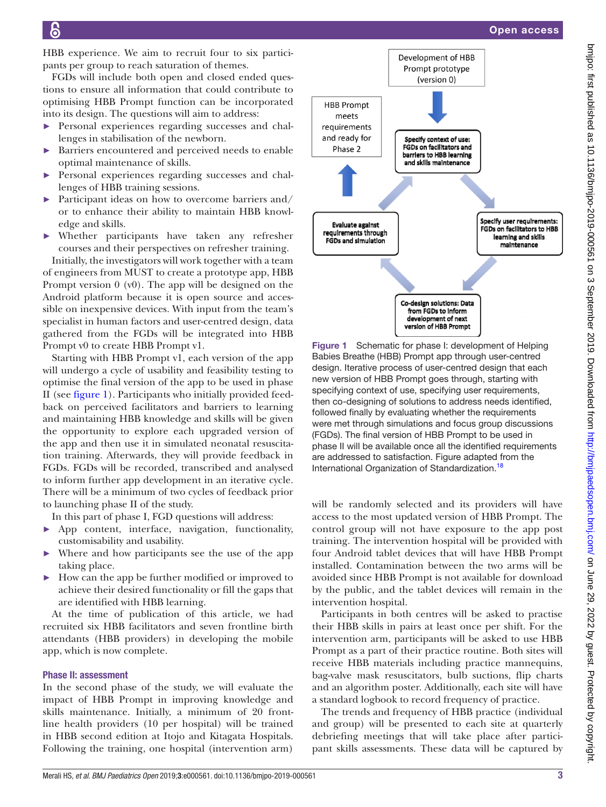HBB experience. We aim to recruit four to six participants per group to reach saturation of themes.

FGDs will include both open and closed ended questions to ensure all information that could contribute to optimising HBB Prompt function can be incorporated into its design. The questions will aim to address:

- Personal experiences regarding successes and challenges in stabilisation of the newborn.
- ► Barriers encountered and perceived needs to enable optimal maintenance of skills.
- Personal experiences regarding successes and challenges of HBB training sessions.
- ► Participant ideas on how to overcome barriers and/ or to enhance their ability to maintain HBB knowledge and skills.
- Whether participants have taken any refresher courses and their perspectives on refresher training.

Initially, the investigators will work together with a team of engineers from MUST to create a prototype app, HBB Prompt version 0 (v0). The app will be designed on the Android platform because it is open source and accessible on inexpensive devices. With input from the team's specialist in human factors and user-centred design, data gathered from the FGDs will be integrated into HBB Prompt v0 to create HBB Prompt v1.

Starting with HBB Prompt v1, each version of the app will undergo a cycle of usability and feasibility testing to optimise the final version of the app to be used in phase II (see [figure](#page-2-0) 1). Participants who initially provided feedback on perceived facilitators and barriers to learning and maintaining HBB knowledge and skills will be given the opportunity to explore each upgraded version of the app and then use it in simulated neonatal resuscitation training. Afterwards, they will provide feedback in FGDs. FGDs will be recorded, transcribed and analysed to inform further app development in an iterative cycle. There will be a minimum of two cycles of feedback prior to launching phase II of the study.

In this part of phase I, FGD questions will address:

- ► App content, interface, navigation, functionality, customisability and usability.
- Where and how participants see the use of the app taking place.
- ► How can the app be further modified or improved to achieve their desired functionality or fill the gaps that are identified with HBB learning.

At the time of publication of this article, we had recruited six HBB facilitators and seven frontline birth attendants (HBB providers) in developing the mobile app, which is now complete.

#### Phase II: assessment

In the second phase of the study, we will evaluate the impact of HBB Prompt in improving knowledge and skills maintenance. Initially, a minimum of 20 frontline health providers (10 per hospital) will be trained in HBB second edition at Itojo and Kitagata Hospitals. Following the training, one hospital (intervention arm)



<span id="page-2-0"></span>Figure 1 Schematic for phase I: development of Helping Babies Breathe (HBB) Prompt app through user-centred design. Iterative process of user-centred design that each new version of HBB Prompt goes through, starting with specifying context of use, specifying user requirements, then co-designing of solutions to address needs identified, followed finally by evaluating whether the requirements were met through simulations and focus group discussions (FGDs). The final version of HBB Prompt to be used in phase II will be available once all the identified requirements are addressed to satisfaction. Figure adapted from the International Organization of Standardization.<sup>18</sup>

will be randomly selected and its providers will have access to the most updated version of HBB Prompt. The control group will not have exposure to the app post training. The intervention hospital will be provided with four Android tablet devices that will have HBB Prompt installed. Contamination between the two arms will be avoided since HBB Prompt is not available for download by the public, and the tablet devices will remain in the intervention hospital.

Participants in both centres will be asked to practise their HBB skills in pairs at least once per shift. For the intervention arm, participants will be asked to use HBB Prompt as a part of their practice routine. Both sites will receive HBB materials including practice mannequins, bag-valve mask resuscitators, bulb suctions, flip charts and an algorithm poster. Additionally, each site will have a standard logbook to record frequency of practice.

The trends and frequency of HBB practice (individual and group) will be presented to each site at quarterly debriefing meetings that will take place after participant skills assessments. These data will be captured by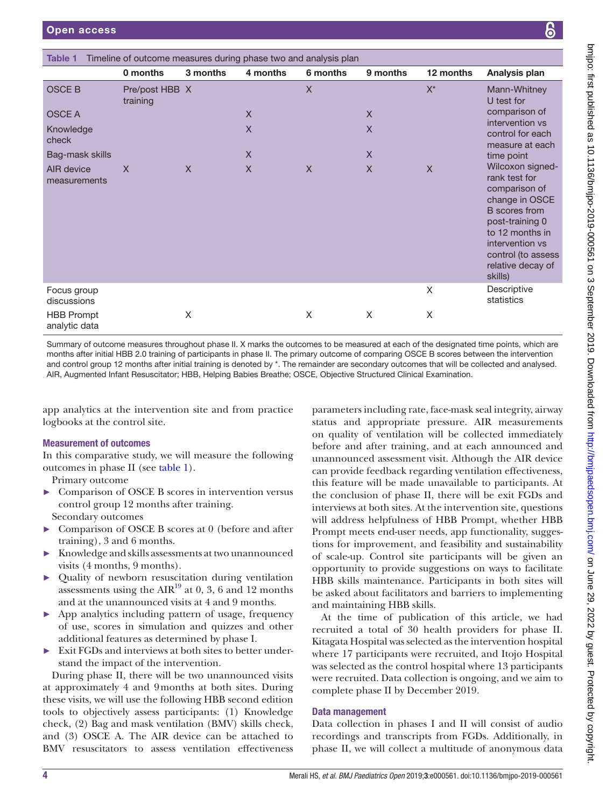<span id="page-3-0"></span>

| Timeline of outcome measures during phase two and analysis plan<br>Table 1                           |                                       |              |                                               |                     |                                              |                   |                                                                                                                                                                                                                                                                                                                         |
|------------------------------------------------------------------------------------------------------|---------------------------------------|--------------|-----------------------------------------------|---------------------|----------------------------------------------|-------------------|-------------------------------------------------------------------------------------------------------------------------------------------------------------------------------------------------------------------------------------------------------------------------------------------------------------------------|
|                                                                                                      | 0 months                              | 3 months     | 4 months                                      | 6 months            | 9 months                                     | 12 months         | Analysis plan                                                                                                                                                                                                                                                                                                           |
| <b>OSCEB</b><br><b>OSCE A</b><br>Knowledge<br>check<br>Bag-mask skills<br>AIR device<br>measurements | Pre/post HBB X<br>training<br>$\sf X$ | $\mathsf{X}$ | $\times$<br>X<br>$\mathsf{X}$<br>$\mathsf{X}$ | $\times$<br>$\sf X$ | $\times$<br>$\times$<br>$\times$<br>$\times$ | $X^*$<br>$\times$ | Mann-Whitney<br>U test for<br>comparison of<br>intervention vs<br>control for each<br>measure at each<br>time point<br>Wilcoxon signed-<br>rank test for<br>comparison of<br>change in OSCE<br><b>B</b> scores from<br>post-training 0<br>to 12 months in<br>intervention vs<br>control (to assess<br>relative decay of |
| Focus group<br>discussions                                                                           |                                       |              |                                               |                     |                                              | X                 | skills)<br>Descriptive<br>statistics                                                                                                                                                                                                                                                                                    |
| <b>HBB Prompt</b><br>analytic data                                                                   |                                       | X            |                                               | X                   | X                                            | X                 |                                                                                                                                                                                                                                                                                                                         |

Summary of outcome measures throughout phase II. X marks the outcomes to be measured at each of the designated time points, which are months after initial HBB 2.0 training of participants in phase II. The primary outcome of comparing OSCE B scores between the intervention and control group 12 months after initial training is denoted by \*. The remainder are secondary outcomes that will be collected and analysed. AIR, Augmented Infant Resuscitator; HBB, Helping Babies Breathe; OSCE, Objective Structured Clinical Examination.

app analytics at the intervention site and from practice logbooks at the control site.

# Measurement of outcomes

In this comparative study, we will measure the following outcomes in phase II (see [table](#page-3-0) 1).

Primary outcome

- ► Comparison of OSCE B scores in intervention versus control group 12 months after training. Secondary outcomes
- ► Comparison of OSCE B scores at 0 (before and after training), 3 and 6 months.
- ► Knowledge and skills assessments at two unannounced visits (4 months, 9 months).
- ► Quality of newborn resuscitation during ventilation assessments using the  $\text{AIR}^{19}$  $\text{AIR}^{19}$  $\text{AIR}^{19}$  at 0, 3, 6 and 12 months and at the unannounced visits at 4 and 9 months.
- ► App analytics including pattern of usage, frequency of use, scores in simulation and quizzes and other additional features as determined by phase I.
- ► Exit FGDs and interviews at both sites to better understand the impact of the intervention.

During phase II, there will be two unannounced visits at approximately 4 and 9months at both sites. During these visits, we will use the following HBB second edition tools to objectively assess participants: (1) Knowledge check, (2) Bag and mask ventilation (BMV) skills check, and (3) OSCE A. The AIR device can be attached to BMV resuscitators to assess ventilation effectiveness

parameters including rate, face-mask seal integrity, airway status and appropriate pressure. AIR measurements on quality of ventilation will be collected immediately before and after training, and at each announced and unannounced assessment visit. Although the AIR device can provide feedback regarding ventilation effectiveness, this feature will be made unavailable to participants. At the conclusion of phase II, there will be exit FGDs and interviews at both sites. At the intervention site, questions will address helpfulness of HBB Prompt, whether HBB Prompt meets end-user needs, app functionality, suggestions for improvement, and feasibility and sustainability of scale-up. Control site participants will be given an opportunity to provide suggestions on ways to facilitate HBB skills maintenance. Participants in both sites will be asked about facilitators and barriers to implementing and maintaining HBB skills.

At the time of publication of this article, we had recruited a total of 30 health providers for phase II. Kitagata Hospital was selected as the intervention hospital where 17 participants were recruited, and Itojo Hospital was selected as the control hospital where 13 participants were recruited. Data collection is ongoing, and we aim to complete phase II by December 2019.

# Data management

Data collection in phases I and II will consist of audio recordings and transcripts from FGDs. Additionally, in phase II, we will collect a multitude of anonymous data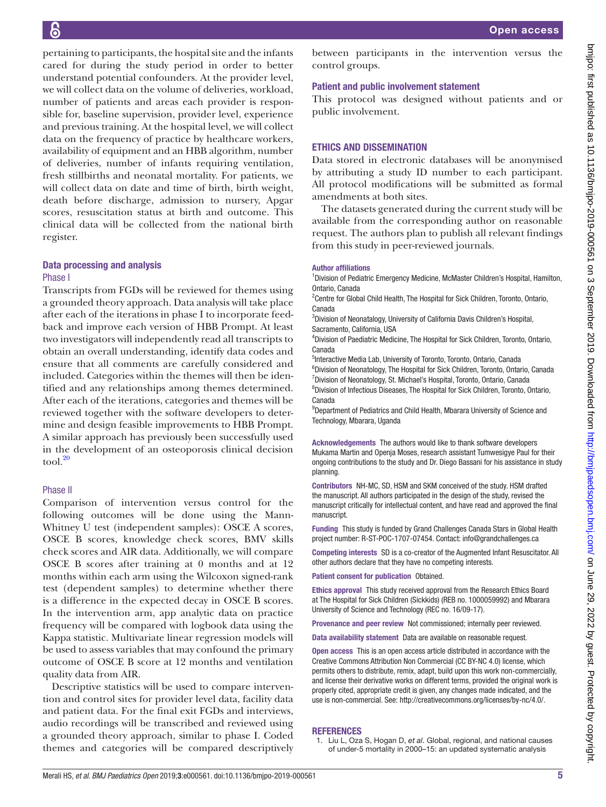pertaining to participants, the hospital site and the infants cared for during the study period in order to better understand potential confounders. At the provider level, we will collect data on the volume of deliveries, workload, number of patients and areas each provider is responsible for, baseline supervision, provider level, experience and previous training. At the hospital level, we will collect data on the frequency of practice by healthcare workers, availability of equipment and an HBB algorithm, number of deliveries, number of infants requiring ventilation, fresh stillbirths and neonatal mortality. For patients, we will collect data on date and time of birth, birth weight, death before discharge, admission to nursery, Apgar scores, resuscitation status at birth and outcome. This clinical data will be collected from the national birth register.

### Data processing and analysis Phase I

Transcripts from FGDs will be reviewed for themes using a grounded theory approach. Data analysis will take place after each of the iterations in phase I to incorporate feedback and improve each version of HBB Prompt. At least two investigators will independently read all transcripts to obtain an overall understanding, identify data codes and ensure that all comments are carefully considered and included. Categories within the themes will then be identified and any relationships among themes determined. After each of the iterations, categories and themes will be reviewed together with the software developers to determine and design feasible improvements to HBB Prompt. A similar approach has previously been successfully used in the development of an osteoporosis clinical decision  $\mathrm{tool.}^{20}$  $\mathrm{tool.}^{20}$  $\mathrm{tool.}^{20}$ 

# Phase II

Comparison of intervention versus control for the following outcomes will be done using the Mann-Whitney U test (independent samples): OSCE A scores, OSCE B scores, knowledge check scores, BMV skills check scores and AIR data. Additionally, we will compare OSCE B scores after training at 0 months and at 12 months within each arm using the Wilcoxon signed-rank test (dependent samples) to determine whether there is a difference in the expected decay in OSCE B scores. In the intervention arm, app analytic data on practice frequency will be compared with logbook data using the Kappa statistic. Multivariate linear regression models will be used to assess variables that may confound the primary outcome of OSCE B score at 12 months and ventilation quality data from AIR.

Descriptive statistics will be used to compare intervention and control sites for provider level data, facility data and patient data. For the final exit FGDs and interviews, audio recordings will be transcribed and reviewed using a grounded theory approach, similar to phase I. Coded themes and categories will be compared descriptively between participants in the intervention versus the control groups.

# Patient and public involvement statement

This protocol was designed without patients and or public involvement.

# Ethics and dissemination

Data stored in electronic databases will be anonymised by attributing a study ID number to each participant. All protocol modifications will be submitted as formal amendments at both sites.

The datasets generated during the current study will be available from the corresponding author on reasonable request. The authors plan to publish all relevant findings from this study in peer-reviewed journals.

#### Author affiliations

Canada

<sup>1</sup> Division of Pediatric Emergency Medicine, McMaster Children's Hospital, Hamilton, Ontario, Canada

<sup>2</sup> Centre for Global Child Health, The Hospital for Sick Children, Toronto, Ontario,

3 Division of Neonatalogy, University of California Davis Children's Hospital, Sacramento, California, USA

4 Division of Paediatric Medicine, The Hospital for Sick Children, Toronto, Ontario, Canada

5 Interactive Media Lab, University of Toronto, Toronto, Ontario, Canada <sup>6</sup>Division of Neonatology, The Hospital for Sick Children, Toronto, Ontario, Canada <sup>7</sup> Division of Neonatology, St. Michael's Hospital, Toronto, Ontario, Canada

8 Division of Infectious Diseases, The Hospital for Sick Children, Toronto, Ontario, Canada

<sup>9</sup>Department of Pediatrics and Child Health, Mbarara University of Science and Technology, Mbarara, Uganda

Acknowledgements The authors would like to thank software developers Mukama Martin and Openja Moses, research assistant Tumwesigye Paul for their ongoing contributions to the study and Dr. Diego Bassani for his assistance in study planning.

Contributors NH-MC, SD, HSM and SKM conceived of the study. HSM drafted the manuscript. All authors participated in the design of the study, revised the manuscript critically for intellectual content, and have read and approved the final manuscript.

Funding This study is funded by Grand Challenges Canada Stars in Global Health project number: R-ST-POC-1707-07454. Contact: info@grandchallenges.ca

Competing interests SD is a co-creator of the Augmented Infant Resuscitator. All other authors declare that they have no competing interests.

Patient consent for publication Obtained.

Ethics approval This study received approval from the Research Ethics Board at The Hospital for Sick Children (Sickkids) (REB no. 1000059992) and Mbarara University of Science and Technology (REC no. 16/09-17).

Provenance and peer review Not commissioned; internally peer reviewed.

Data availability statement Data are available on reasonable request.

Open access This is an open access article distributed in accordance with the Creative Commons Attribution Non Commercial (CC BY-NC 4.0) license, which permits others to distribute, remix, adapt, build upon this work non-commercially, and license their derivative works on different terms, provided the original work is properly cited, appropriate credit is given, any changes made indicated, and the use is non-commercial. See:<http://creativecommons.org/licenses/by-nc/4.0/>.

#### **REFERENCES**

<span id="page-4-0"></span>1. Liu L, Oza S, Hogan D, *et al*. Global, regional, and national causes of under-5 mortality in 2000–15: an updated systematic analysis